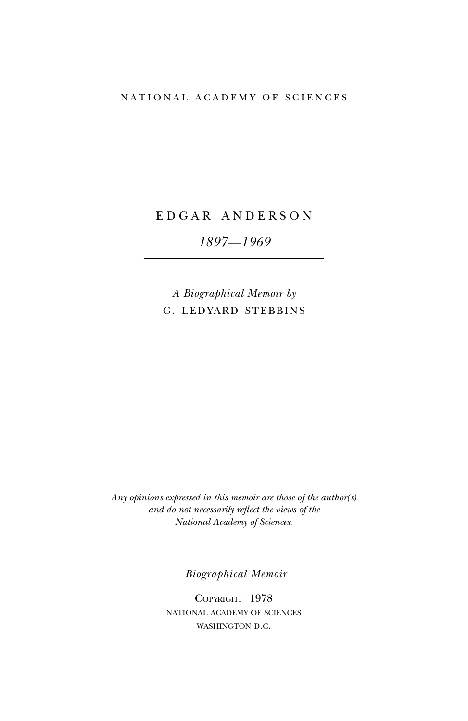# NATIONAL ACADEMY OF SCIENCES

# E D G A R A N D E R S O N

# *1897—1969*

*A Biographical Memoir by* G. LEDYARD STEBBINS

*Any opinions expressed in this memoir are those of the author(s) and do not necessarily reflect the views of the National Academy of Sciences*.

*Biographical Memoir*

COPYRIGHT 1978 national academy of sciences WASHINGTON D.C.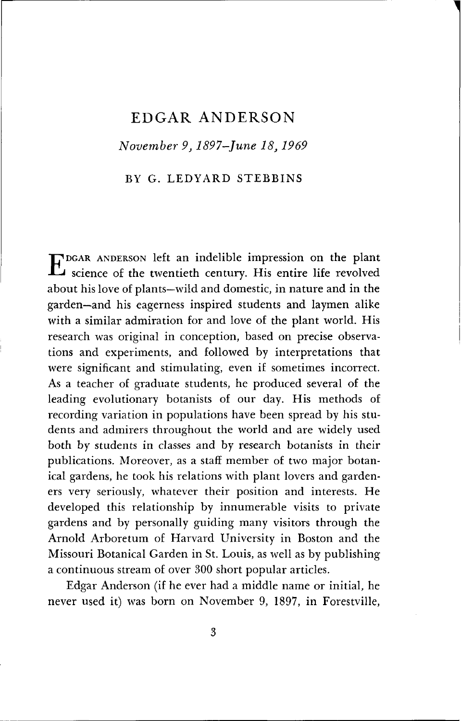# EDGAR ANDERSON

*November 9,1897-June 18,1969*

BY G. LEDYARD STEBBINS

E DGAR ANDERSON left an indelible impression on the plant science of the twentieth century. His entire life revolved about his love of plants—wild and domestic, in nature and in the garden—and his eagerness inspired students and laymen alike with a similar admiration for and love of the plant world. His research was original in conception, based on precise observations and experiments, and followed by interpretations that were significant and stimulating, even if sometimes incorrect. As a teacher of graduate students, he produced several of the leading evolutionary botanists of our day. His methods of recording variation in populations have been spread by his students and admirers throughout the world and are widely used both by students in classes and by research botanists in their publications. Moreover, as a staff member of two major botanical gardens, he took his relations with plant lovers and gardeners very seriously, whatever their position and interests. He developed this relationship by innumerable visits to private gardens and by personally guiding many visitors through the Arnold Arboretum of Harvard University in Boston and the Missouri Botanical Garden in St. Louis, as well as by publishing a continuous stream of over 300 short popular articles.

Edgar Anderson (if he ever had a middle name or initial, he never used it) was born on November 9, 1897, in Forestville,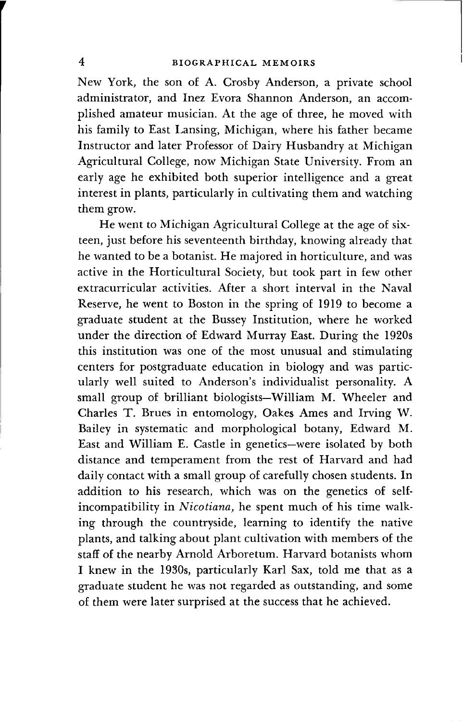New York, the son of A. Crosby Anderson, a private school administrator, and Inez Evora Shannon Anderson, an accomplished amateur musician. At the age of three, he moved with his family to East Lansing, Michigan, where his father became Instructor and later Professor of Dairy Husbandry at Michigan Agricultural College, now Michigan State University. From an early age he exhibited both superior intelligence and a great interest in plants, particularly in cultivating them and watching them grow.

He went to Michigan Agricultural College at the age of sixteen, just before his seventeenth birthday, knowing already that he wanted to be a botanist. He majored in horticulture, and was active in the Horticultural Society, but took part in few other extracurricular activities. After a short interval in the Naval Reserve, he went to Boston in the spring of 1919 to become a graduate student at the Bussey Institution, where he worked under the direction of Edward Murray East. During the 1920s this institution was one of the most unusual and stimulating centers for postgraduate education in biology and was particularly well suited to Anderson's individualist personality. A small group of brilliant biologists—William M. Wheeler and Charles T. Brues in entomology, Oakes Ames and Irving W. Bailey in systematic and morphological botany, Edward M. East and William E. Castle in genetics—were isolated by both distance and temperament from the rest of Harvard and had daily contact with a small group of carefully chosen students. In addition to his research, which was on the genetics of selfincompatibility in *Nicotiana,* he spent much of his time walking through the countryside, learning to identify the native plants, and talking about plant cultivation with members of the staff of the nearby Arnold Arboretum. Harvard botanists whom I knew in the 1930s, particularly Karl Sax, told me that as a graduate student he was not regarded as outstanding, and some of them were later surprised at the success that he achieved.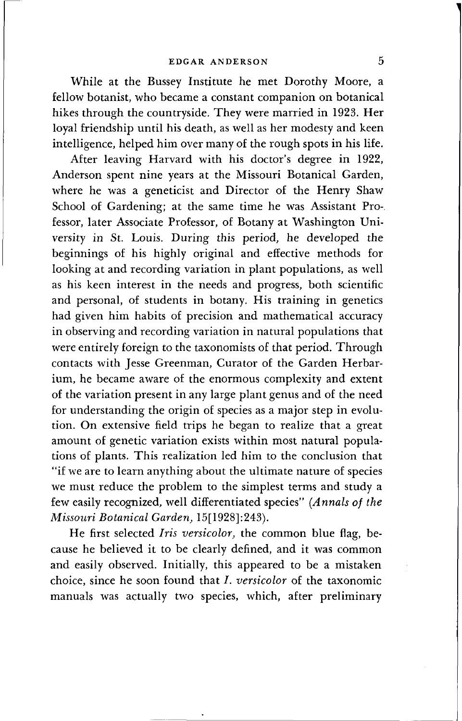While at the Bussey Institute he met Dorothy Moore, a fellow botanist, who became a constant companion on botanical hikes through the countryside. They were married in 1923. Her loyal friendship until his death, as well as her modesty and keen intelligence, helped him over many of the rough spots in his life.

After leaving Harvard with his doctor's degree in 1922, Anderson spent nine years at the Missouri Botanical Garden, where he was a geneticist and Director of the Henry Shaw School of Gardening; at the same time he was Assistant Pro-, fessor, later Associate Professor, of Botany at Washington University in St. Louis. During this period, he developed the beginnings of his highly original and effective methods for looking at and recording variation in plant populations, as well as his keen interest in the needs and progress, both scientific and personal, of students in botany. His training in genetics had given him habits of precision and mathematical accuracy in observing and recording variation in natural populations that were entirely foreign to the taxonomists of that period. Through contacts with Jesse Greenman, Curator of the Garden Herbarium, he became aware of the enormous complexity and extent of the variation present in any large plant genus and of the need for understanding the origin of species as a major step in evolution. On extensive field trips he began to realize that a great amount of genetic variation exists within most natural populations of plants. This realization led him to the conclusion that "if we are to learn anything about the ultimate nature of species we must reduce the problem to the simplest terms and study a few easily recognized, well differentiated species" *(Annals of the Missouri Botanical Garden,* 15[1928]:243).

He first selected *Iris versicolor,* the common blue flag, because he believed it to be clearly defined, and it was common and easily observed. Initially, this appeared to be a mistaken choice, since he soon found that *I. versicolor* of the taxonomic manuals was actually two species, which, after preliminary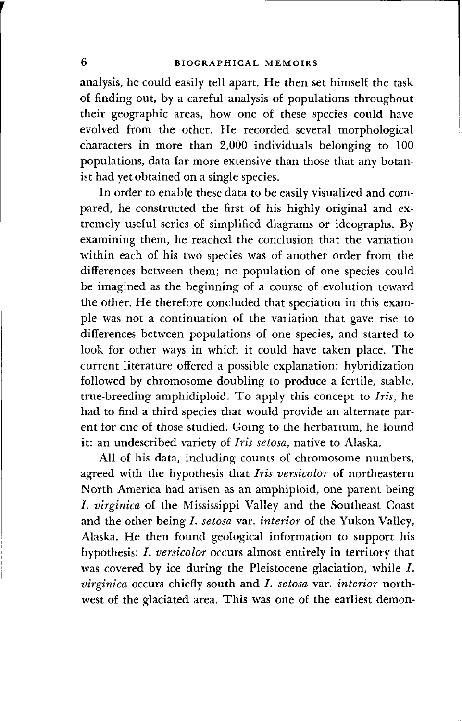# **6 BIOGRAPHICAL MEMOIRS**

analysis, he could easily tell apart. He then set himself the task of finding out, by a careful analysis of populations throughout their geographic areas, how one of these species could have evolved from the other. He recorded several morphological characters in more than 2,000 individuals belonging to 100 populations, data far more extensive than those that any botanist had yet obtained on a single species.

In order to enable these data to be easily visualized and compared, he constructed the first of his highly original and extremely useful series of simplified diagrams or ideographs. By examining them, he reached the conclusion that the variation within each of his two species was of another order from the differences between them; no population of one species could be imagined as the beginning of a course of evolution toward the other. He therefore concluded that speciation in this example was not a continuation of the variation that gave rise to differences between populations of one species, and started to look for other ways in which it could have taken place. The current literature offered a possible explanation: hybridization followed by chromosome doubling to produce a fertile, stable, true-breeding amphidiploid. To apply this concept to *Iris,* he had to find a third species that would provide an alternate parent for one of those studied. Going to the herbarium, he found it: an undescribed variety of *Iris setosa,* native to Alaska.

All of his data, including counts of chromosome numbers, agreed with the hypothesis that *Iris versicolor* of northeastern North America had arisen as an amphiploid, one parent being *I. virginica* of the Mississippi Valley and the Southeast Coast and the other being /. *setosa* var. *interior* of the Yukon Valley, Alaska. He then found geological information to support his hypothesis: /. *versicolor* occurs almost entirely in territory that was covered by ice during the Pleistocene glaciation, while  $I$ . *virginica* occurs chiefly south and *I. setosa var. interior* northwest of the glaciated area. This was one of the earliest demon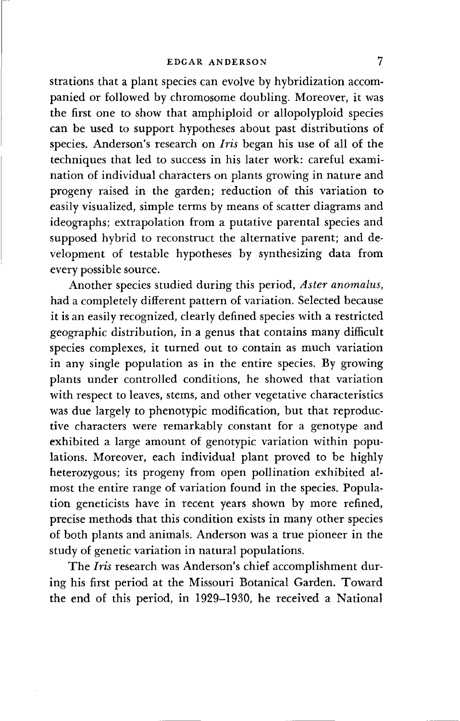strations that a plant species can evolve by hybridization accompanied or followed by chromosome doubling. Moreover, it was the first one to show that amphiploid or allopolyploid species can be used to support hypotheses about past distributions of species. Anderson's research on *Iris* began his use of all of the techniques that led to success in his later work: careful examination of individual characters on plants growing in nature and progeny raised in the garden; reduction of this variation to easily visualized, simple terms by means of scatter diagrams and ideographs; extrapolation from a putative parental species and supposed hybrid to reconstruct the alternative parent; and development of testable hypotheses by synthesizing data from every possible source.

Another species studied during this period, *Aster anomalus,* had a completely different pattern of variation. Selected because it is an easily recognized, clearly defined species with a restricted geographic distribution, in a genus that contains many difficult species complexes, it turned out to contain as much variation in any single population as in the entire species. By growing plants under controlled conditions, he showed that variation with respect to leaves, stems, and other vegetative characteristics was due largely to phenotypic modification, but that reproductive characters were remarkably constant for a genotype and exhibited a large amount of genotypic variation within populations. Moreover, each individual plant proved to be highly heterozygous; its progeny from open pollination exhibited almost the entire range of variation found in the species. Population geneticists have in recent years shown by more refined, precise methods that this condition exists in many other species of both plants and animals. Anderson was a true pioneer in the study of genetic variation in natural populations.

The *Iris* research was Anderson's chief accomplishment during his first period at the Missouri Botanical Garden. Toward the end of this period, in 1929-1930, he received a National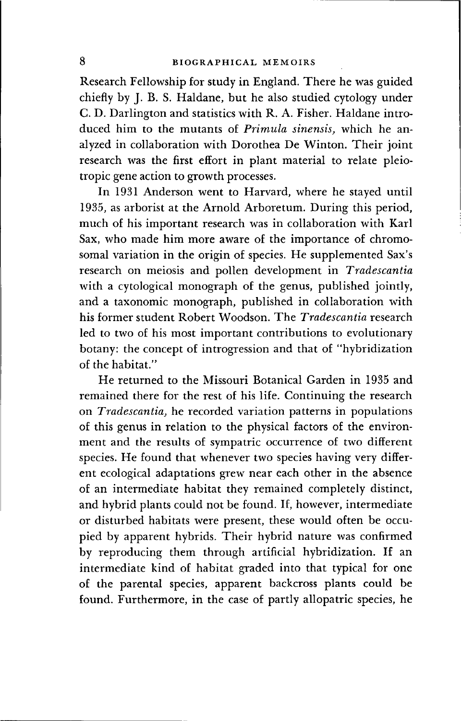Research Fellowship for study in England. There he was guided chiefly by J. B. S. Haldane, but he also studied cytology under C. D. Darlington and statistics with R. A. Fisher. Haldane introduced him to the mutants of *Primula sinensis,* which he analyzed in collaboration with Dorothea De Winton. Their joint research was the first effort in plant material to relate pleiotropic gene action to growth processes.

In 1931 Anderson went to Harvard, where he stayed until 1935, as arborist at the Arnold Arboretum. During this period, much of his important research was in collaboration with Karl Sax, who made him more aware of the importance of chromosomal variation in the origin of species. He supplemented Sax's research on meiosis and pollen development in *Tradescantia* with a cytological monograph of the genus, published jointly, and a taxonomic monograph, published in collaboration with his former student Robert Woodson. The *Tradescantia* research led to two of his most important contributions to evolutionary botany: the concept of introgression and that of "hybridization of the habitat."

He returned to the Missouri Botanical Garden in 1935 and remained there for the rest of his life. Continuing the research on *Tradescantia,* he recorded variation patterns in populations of this genus in relation to the physical factors of the environment and the results of sympatric occurrence of two different species. He found that whenever two species having very different ecological adaptations grew near each other in the absence of an intermediate habitat they remained completely distinct, and hybrid plants could not be found. If, however, intermediate or disturbed habitats were present, these would often be occupied by apparent hybrids. Their hybrid nature was confirmed by reproducing them through artificial hybridization. If an intermediate kind of habitat graded into that typical for one of the parental species, apparent backcross plants could be found. Furthermore, in the case of partly allopatric species, he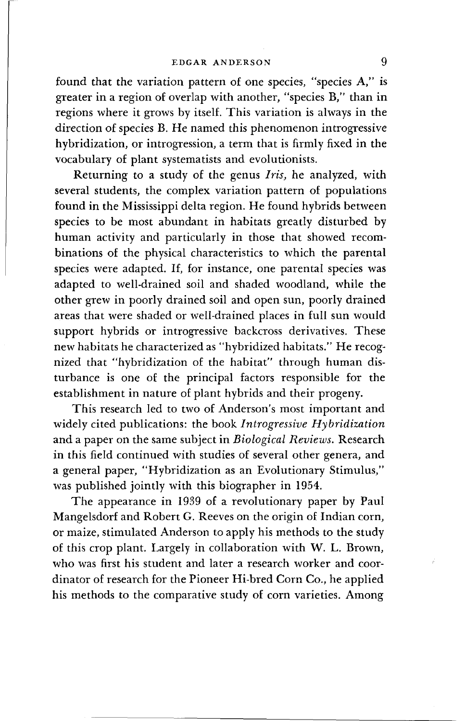found that the variation pattern of one species, "species A," is greater in a region of overlap with another, "species B," than in regions where it grows by itself. This variation is always in the direction of species B. He named this phenomenon introgressive hybridization, or introgression, a term that is firmly fixed in the vocabulary of plant systematists and evolutionists.

Returning to a study of the genus *Iris,* he analyzed, with several students, the complex variation pattern of populations found in the Mississippi delta region. He found hybrids between species to be most abundant in habitats greatly disturbed by human activity and particularly in those that showed recombinations of the physical characteristics to which the parental species were adapted. If, for instance, one parental species was adapted to well-drained soil and shaded woodland, while the other grew in poorly drained soil and open sun, poorly drained areas that were shaded or well-drained places in full sun would support hybrids or introgressive backcross derivatives. These new habitats he characterized as "hybridized habitats." He recognized that "hybridization of the habitat" through human disturbance is one of the principal factors responsible for the establishment in nature of plant hybrids and their progeny.

This research led to two of Anderson's most important and widely cited publications: the book *Introgressive Hybridization* and a paper on the same subject in *Biological Reviews.* Research in this field continued with studies of several other genera, and a general paper, "Hybridization as an Evolutionary Stimulus," was published jointly with this biographer in 1954.

The appearance in 1939 of a revolutionary paper by Paul Mangelsdorf and Robert G. Reeves on the origin of Indian corn, or maize, stimulated Anderson to apply his methods to the study of this crop plant. Largely in collaboration with W. L. Brown, who was first his student and later a research worker and coordinator of research for the Pioneer Hi-bred Corn Co., he applied his methods to the comparative study of corn varieties. Among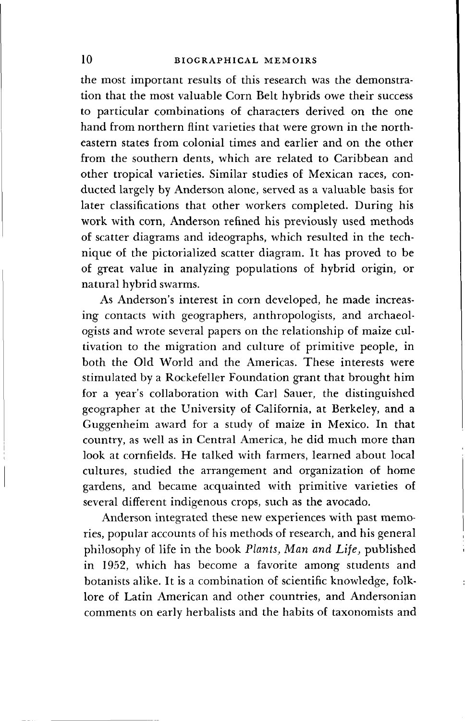the most important results of this research was the demonstration that the most valuable Corn Belt hybrids owe their success to particular combinations of characters derived on the one hand from northern flint varieties that were grown in the northeastern states from colonial times and earlier and on the other from the southern dents, which are related to Caribbean and other tropical varieties. Similar studies of Mexican races, conducted largely by Anderson alone, served as a valuable basis for later classifications that other workers completed. During his work with corn, Anderson refined his previously used methods of scatter diagrams and ideographs, which resulted in the technique of the pictorialized scatter diagram. It has proved to be of great value in analyzing populations of hybrid origin, or natural hybrid swarms.

As Anderson's interest in corn developed, he made increasing contacts with geographers, anthropologists, and archaeologists and wrote several papers on the relationship of maize cultivation to the migration and culture of primitive people, in both the Old World and the Americas. These interests were stimulated by a Rockefeller Foundation grant that brought him for a year's collaboration with Carl Sauer, the distinguished geographer at the University of California, at Berkeley, and a Guggenheim award for a study of maize in Mexico. In that country, as well as in Central America, he did much more than look at cornfields. He talked with farmers, learned about local cultures, studied the arrangement and organization of home gardens, and became acquainted with primitive varieties of several different indigenous crops, such as the avocado.

Anderson integrated these new experiences with past memories, popular accounts of his methods of research, and his general philosophy of life in the book *Plants, Man and Life,* published in 1952, which has become a favorite among students and botanists alike. It is a combination of scientific knowledge, folklore of Latin American and other countries, and Andersonian comments on early herbalists and the habits of taxonomists and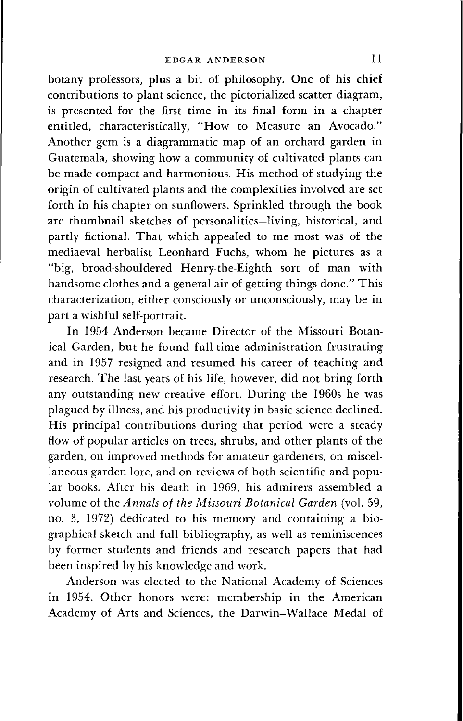botany professors, plus a bit of philosophy. One of his chief contributions to plant science, the pictorialized scatter diagram, is presented for the first time in its final form in a chapter entitled, characteristically, "How to Measure an Avocado." Another gem is a diagrammatic map of an orchard garden in Guatemala, showing how a community of cultivated plants can be made compact and harmonious. His method of studying the origin of cultivated plants and the complexities involved are set forth in his chapter on sunflowers. Sprinkled through the book are thumbnail sketches of personalities—living, historical, and partly fictional. That which appealed to me most was of the mediaeval herbalist Leonhard Fuchs, whom he pictures as a "big, broad-shouldered Henry-the-Eighth sort of man with handsome clothes and a general air of getting things done." This characterization, either consciously or unconsciously, may be in part a wishful self-portrait.

In 1954 Anderson became Director of the Missouri Botanical Garden, but he found full-time administration frustrating and in 1957 resigned and resumed his career of teaching and research. The last years of his life, however, did not bring forth any outstanding new creative effort. During the 1960s he was plagued by illness, and his productivity in basic science declined. His principal contributions during that period were a steady flow of popular articles on trees, shrubs, and other plants of the garden, on improved methods for amateur gardeners, on miscellaneous garden lore, and on reviews of both scientific and popular books. After his death in 1969, his admirers assembled a volume of the *Annals of the Missouri Botanical Garden* (vol. 59, no. 3, 1972) dedicated to his memory and containing a biographical sketch and full bibliography, as well as reminiscences by former students and friends and research papers that had been inspired by his knowledge and work.

Anderson was elected to the National Academy of Sciences in 1954. Other honors were: membership in the American Academy of Arts and Sciences, the Darwin-Wallace Medal of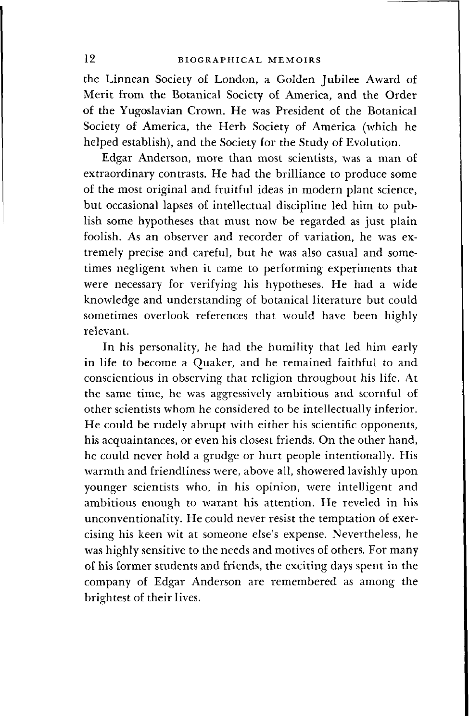the Linnean Society of London, a Golden Jubilee Award of Merit from the Botanical Society of America, and the Order of the Yugoslavian Crown. He was President of the Botanical Society of America, the Herb Society of America (which he helped establish), and the Society for the Study of Evolution.

Edgar Anderson, more than most scientists, was a man of extraordinary contrasts. He had the brilliance to produce some of the most original and fruitful ideas in modern plant science, but occasional lapses of intellectual discipline led him to publish some hypotheses that must now be regarded as just plain foolish. As an observer and recorder of variation, he was extremely precise and careful, but he was also casual and sometimes negligent when it came to performing experiments that were necessary for verifying his hypotheses. He had a wide knowledge and understanding of botanical literature but could sometimes overlook references that would have been highly relevant.

In his personality, he had the humility that led him early in life to become a Quaker, and he remained faithful to and conscientious in observing that religion throughout his life. At the same time, he was aggressively ambitious and scornful of other scientists whom he considered to be intellectually inferior. He could be rudely abrupt with either his scientific opponents, his acquaintances, or even his closest friends. On the other hand, he could never hold a grudge or hurt people intentionally. His warmth and friendliness were, above all, showered lavishly upon younger scientists who, in his opinion, were intelligent and ambitious enough to warant his attention. He reveled in his unconventionality. He could never resist the temptation of exercising his keen wit at someone else's expense. Nevertheless, he was highly sensitive to the needs and motives of others. For many of his former students and friends, the exciting days spent in the company of Edgar Anderson are remembered as among the brightest of their lives.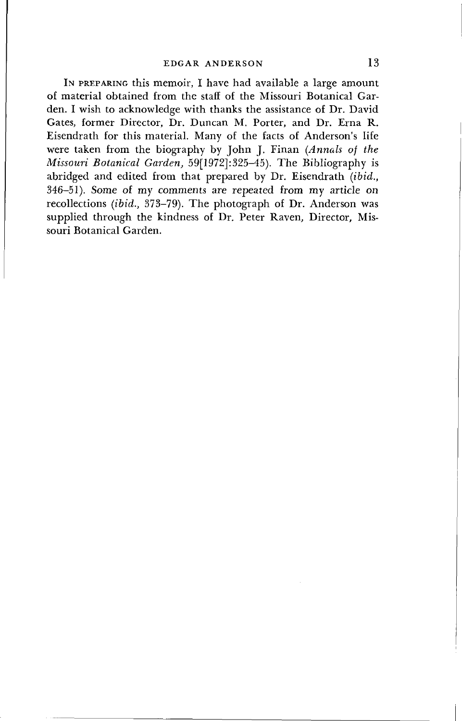IN PREPARING this memoir, I have had available a large amount of material obtained from the staff of the Missouri Botanical Garden. I wish to acknowledge with thanks the assistance of Dr. David Gates, former Director, Dr. Duncan M. Porter, and Dr. Erna R. Eisendrath for this material. Many of the facts of Anderson's life were taken from the biography by John J. Finan *(Annals of the Missouri Botanical Garden,* 59[1972]: 325-45). The Bibliography is abridged and edited from that prepared by Dr. Eisendrath *(ibid.,* 346-51). Some of my comments are repeated from my article on recollections *(ibid.,* 373-79). The photograph of Dr. Anderson was supplied through the kindness of Dr. Peter Raven, Director, Missouri Botanical Garden.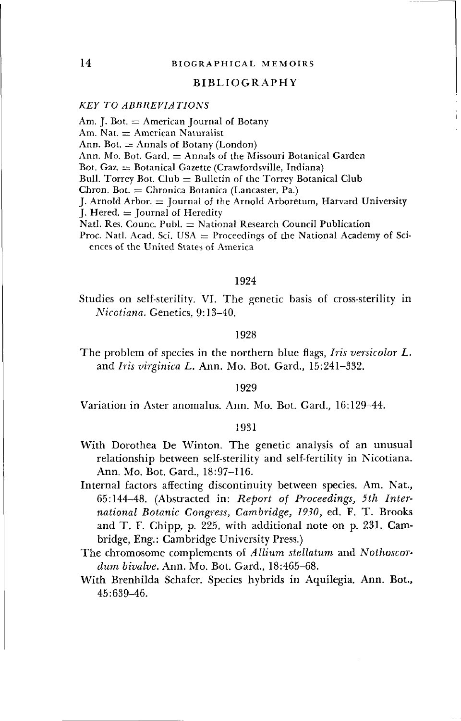# BIBLIOGRAPHY

# *KEY TO ABBREVIATIONS*

Am. J. Bot.  $=$  American Journal of Botany Am. Nat.  $=$  American Naturalist Ann. Bot.  $\equiv$  Annals of Botany (London) Ann. Mo. Bot. Gard.  $=$  Annals of the Missouri Botanical Garden Bot. Gaz.  $=$  Botanical Gazette (Crawfordsville, Indiana) Bull. Torrey Bot.  $Club = Bulletin$  of the Torrey Botanical  $Club$  $Chron. Bot. = Chronica Botanica (Lancaster, Pa.)$ J. Arnold Arbor.  $=$  Journal of the Arnold Arboretum, Harvard University  $I.$  Hered.  $=$  Journal of Heredity Natl. Res. Counc. Publ.  $=$  National Research Council Publication Proc. Natl. Acad. Sci. USA  $=$  Proceedings of the National Academy of Sci-

ences of the United States of America

# 1924

Studies on self-sterility. VI. The genetic basis of cross-sterility in *Nicotiana.* Genetics, 9:13-40.

### 1928

The problem of species in the northern blue flags, *Iris versicolor L.* and *Iris virginica L.* Ann. Mo. Bot. Gard., 15:241-332.

# 1929

Variation in Aster anomalus. Ann. Mo. Bot. Gard., 16:129-44.

- With Dorothea De Winton. The genetic analysis of an unusual relationship between self-sterility and self-fertility in Nicotiana. Ann. Mo. Bot. Gard., 18:97-116.
- Internal factors affecting discontinuity between species. Am. Nat., 65:144-48. (Abstracted in: *Report of Proceedings, 5th International Botanic Congress, Cambridge, 1930,* ed. F. T. Brooks and T. F. Chipp, p. 225, with additional note on p. 231. Cambridge, Eng.: Cambridge University Press.)
- The chromosome complements of *Allium stellatum* and *Nothoscordum bivalve.* Ann. Mo. Bot. Gard., 18:465-68.
- With Brenhilda Schafer. Species hybrids in Aquilegia. Ann. **Bot.,** 45:639-46.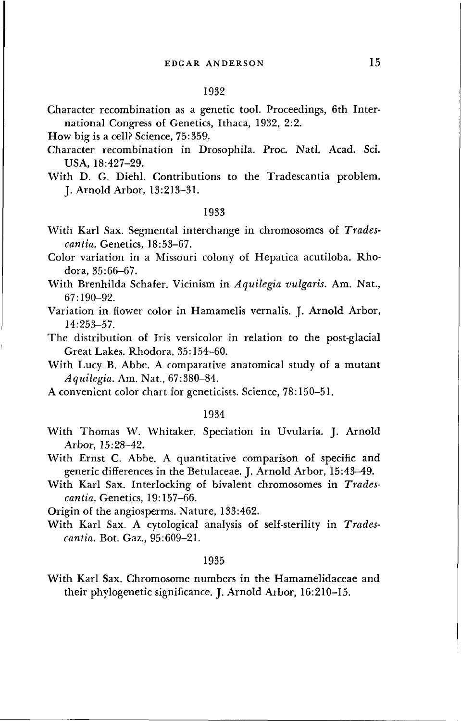## 1932

Character recombination as a genetic tool. Proceedings, 6th International Congress of Genetics, Ithaca, 1932, 2:2.

How big is a cell? Science, 75:359.

- Character recombination in Drosophila. Proc. Natl. Acad. Sci. USA, 18:427-29.
- With D. G. Diehl. Contributions to the Tradescantia problem. J. Arnold Arbor, 13:213-31.

#### 1933

With Karl Sax. Segmental interchange in chromosomes of *Tradescantia.* Genetics, 18:53-67.

Color variation in a Missouri colony of Hepatica acutiloba. Rhodora, 35:66-67.

- With Brenhilda Schafer. Vicinism in *Aquilegia vulgaris.* Am. Nat., 67:190-92.
- Variation in flower color in Hamamelis vernalis. J. Arnold Arbor, 14:253-57.

The distribution of Iris versicolor in relation to the post-glacial Great Lakes. Rhodora, 35:154-60.

With Lucy B. Abbe. A comparative anatomical study of a mutant *Aquilegia.* Am. Nat., 67:380-84.

A convenient color chart for geneticists. Science, 78:150-51.

# 1934

With Thomas W. Whitaker. Speciation in Uvularia. J. Arnold Arbor, 15:28-42.

With Ernst C. Abbe. A quantitative comparison of specific and generic differences in the Betulaceae. J. Arnold Arbor, 15:43-^9.

With Karl Sax. Interlocking of bivalent chromosomes in *Tradescantia.* Genetics, 19:157-66.

Origin of the angiosperms. Nature, 133:462.

With Karl Sax. A cytological analysis of self-sterility in *Tradescantia.* Bot. Gaz., 95:609-21.

#### 1935

With Karl Sax. Chromosome numbers in the Hamamelidaceae and their phylogenetic significance. J. Arnold Arbor, 16:210-15.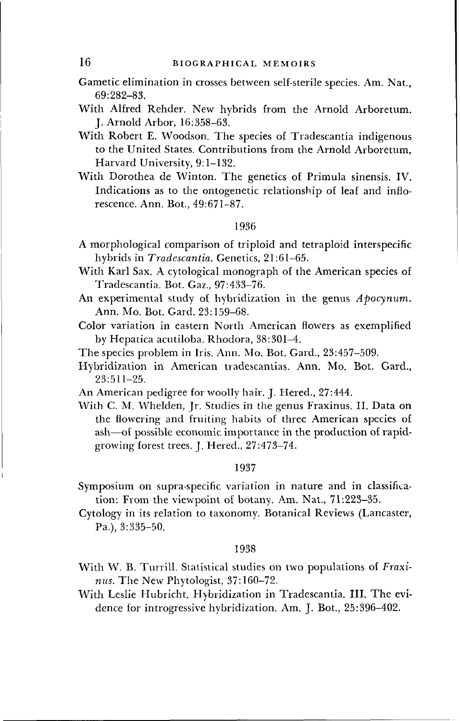Gametic elimination in crosses between self-sterile species. Am. Nat., 69:282-83.

With Alfred Render. New hybrids from the Arnold Arboretum. J. Arnold Arbor, 16:358-63.

- With Robert E. Woodson. The species of Tradescantia indigenous to the United States. Contributions from the Arnold Arboretum, Harvard University, 9:1-132.
- With Dorothea de Winton. The genetics of Primula sinensis. IV. Indications as to the ontogenetic relationship of leaf and inflorescence. Ann. Bot., 49:671-87.

#### 1936

- A morphological comparison of triploid and tetraploid interspecific hybrids in *Tradescantia.* Genetics, 21:61-65.
- With Karl Sax. A cytological monograph of the American species of Tradescantia. Bot. Gaz., 97:433-76.
- An experimental study of hybridization in the genus *Apocynum.* Ann. Mo. Bot. Gard. 23:159-68.
- Color variation in eastern North American flowers as exemplified by Hepatica acutiloba. Rhodora, 38:301-4.
- The species problem in Iris. Ann. Mo. Bot. Gard., 23:457-509.
- Hybridization in American tradescantias. Ann. Mo. Bot. Gard., 23:511-25.
- An American pedigree for woolly hair. J. Hered., 27:444.
- With C. M. Whelden, Jr. Studies in the genus Fraxinus. II. Data on the flowering and fruiting habits of three American species of ash—of possible economic importance in the production of rapidgrowing forest trees. J. Hered., 27:473-74.

# 1937

- Symposium on supra-specific variation in nature and in classification: From the viewpoint of botany. Am. Nat., 71:223-35.
- Cytology in its relation to taxonomy. Botanical Reviews (Lancaster, Pa.), 3:335-50.

- With W. B. Turrill. Statistical studies on two populations of *Fraxinus.* The New Phytologist, 37:160-72.
- With Leslie Hubricht. Hybridization in Tradescantia. III. The evidence for introgressive hybridization. Am. J. Bot., 25:396-402.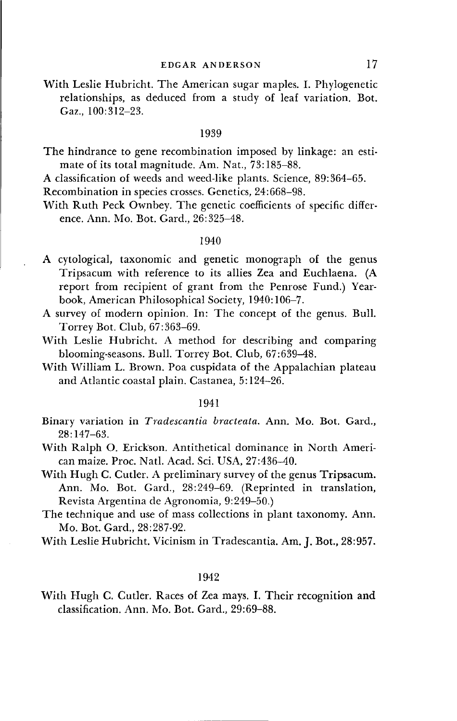With Leslie Hubricht. The American sugar maples. I. Phylogenetic relationships, as deduced from a study of leaf variation. Bot. Gaz., 100:312-23.

#### 1939

The hindrance to gene recombination imposed by linkage: an estimate of its total magnitude. Am. Nat., 73:185-88.

A classification of weeds and weed-like plants. Science, 89:364-65.

Recombination in species crosses. Genetics, 24:668-98.

With Ruth Peck Ownbey. The genetic coefficients of specific difference. Ann. Mo. Bot. Gard., 26:325-48.

# 1940

- A cytological, taxonomic and genetic monograph of the genus Tripsacum with reference to its allies Zea and Euchlaena. (A report from recipient of grant from the Penrose Fund.) Yearbook, American Philosophical Society, 1940:106-7.
- A survey of modern opinion. In: The concept of the genus. Bull. Torrey Bot. Club, 67:363-69.
- With Leslie Hubricht. A method for describing and comparing blooming-seasons. Bull. Torrey Bot. Club, 67:639-48.
- With William L. Brown. Poa cuspidata of the Appalachian plateau and Atlantic coastal plain. Castanea, 5:124-26.

# 1941

- Binary variation in *Tradescantia bracteata.* Ann. Mo. Bot. Gard., 28:147-63.
- With Ralph O. Erickson. Antithetical dominance in North American maize. Proc. Natl. Acad. Sci. USA, 27:436-40.
- With Hugh C. Cutler. A preliminary survey of the genus Tripsacum. Ann. Mo. Bot. Gard., 28:249-69. (Reprinted in translation, Revista Argentina de Agronomia, 9:249-50.)
- The technique and use of mass collections in plant taxonomy. Ann. Mo. Bot. Gard., 28:287-92.

# 1942

With Hugh C. Cutler. Races of Zea mays. I. Their recognition **and** classification. Ann. Mo. Bot. Gard., 29:69-88.

With Leslie Hubricht. Vicinism in Tradescantia. Am. J. Bot., 28:957.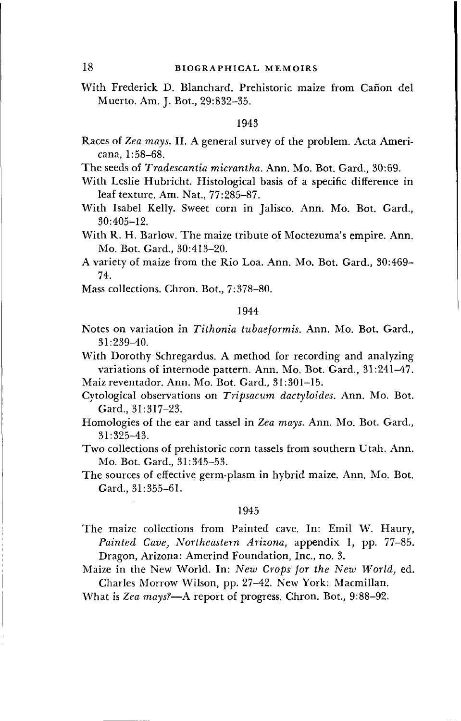With Frederick D. Blanchard. Prehistoric maize from Cañon del Muerto. Am. J. Bot., 29:832-35.

# 1943

- Races of *Zea mays.* II. A general survey of the problem. Acta Americana, 1:58-68.
- The seeds of *Tradescantia micrantha.* Ann. Mo. Bot. Gard., 30:69.
- With Leslie Hubricht. Histological basis of a specific difference in leaf texture. Am. Nat., 77:285-87.
- With Isabel Kelly. Sweet corn in Jalisco. Ann. Mo. Bot. Gard., 30:405-12.
- With R. H. Barlow. The maize tribute of Moctezuma's empire. Ann. Mo. Bot. Gard., 30:413-20.

A variety of maize from the Rio Loa. Ann. Mo. Bot. Gard., 30:469- 74.

Mass collections. Chron. Bot., 7:378-80.

# 1944

Notes on variation in *Tithonia tubaeformis.* Ann. Mo. Bot. Gard., 31:239-40.

With Dorothy Schregardus. A method for recording and analyzing variations of internode pattern. Ann. Mo. Bot. Gard., 31:241-47.

- Maiz reventador. Ann. Mo. Bot. Gard., 31:301-15.
- Cytological observations on *Tripsacum dactyloides.* Ann. Mo. Bot. Gard., 31:317-23.
- Homologies of the ear and tassel in *Zea mays.* Ann. Mo. Bot. Gard., 31:325-43.

Two collections of prehistoric corn tassels from southern Utah. Ann. Mo. Bot. Gard., 31:345-53.

The sources of effective germ-plasm in hybrid maize. Ann. Mo. Bot. Gard., 31:355-61.

#### 1945

The maize collections from Painted cave. In: Emil W. Haury, *Painted Cave, Northeastern Arizona,* appendix 1, pp. 77-85. Dragon, Arizona: Amerind Foundation, Inc., no. 3.

Maize in the New World. In: *New Crops for the New World,* ed. Charles Morrow Wilson, pp. 27-42. New York: Macmillan.

What is *Zea mays?*—A report of progress. Chron. Bot., 9:88-92.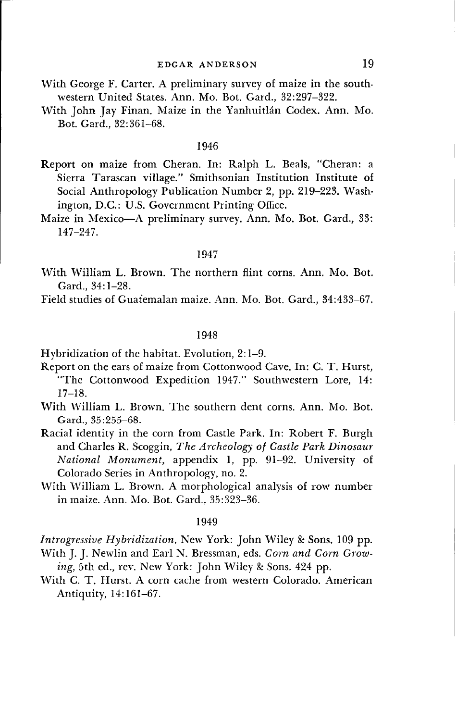- With George F. Carter. A preliminary survey of maize in the southwestern United States. Ann. Mo. Bot. Gard., 32:297-322.
- With John Jay Finan. Maize in the Yanhuitlán Codex. Ann. Mo. Bot. Gard., 32:361-68.

#### 1946

Report on maize from Cheran. In: Ralph L. Beals, "Cheran: a Sierra Tarascan village." Smithsonian Institution Institute of Social Anthropology Publication Number 2, pp. 219-223. Washington, D.C.: U.S. Government Printing Office.

Maize in Mexico—A preliminary survey. Ann. Mo. Bot. Gard., 33: 147-247.

# 1947

With William L. Brown. The northern flint corns. Ann. Mo. Bot. Gard., 34:1-28.

Field studies of Guatemalan maize. Ann. Mo. Bot. Gard., 34:433-67.

# 1948

Hybridization of the habitat. Evolution, 2:1-9.

Report on the ears of maize from Cottonwood Cave. In: C. T. Hurst, "The Cottonwood Expedition 1947." Southwestern Lore, 14: 17-18.

- With William L. Brown. The southern dent corns. Ann. Mo. Bot. Gard., 35:255-68.
- Racial identity in the corn from Castle Park. In: Robert F. Burgh and Charles R. Scoggin, *The Archeology of Castle Park Dinosaur National Monument,* appendix 1, pp. 91-92. University of Colorado Series in Anthropology, no. 2.
- With William L. Brown. A morphological analysis of row number in maize. Ann. Mo. Bot. Gard., 35:323-36.

#### 1949

*Introgressive Hybridization.* New York: John Wiley & Sons. 109 pp. With J. J. Newlin and Earl N. Bressman, eds. *Corn and Corn Grow-*

- ing, 5th ed., rev. New York: John Wiley & Sons. 424 pp.
- With C. T. Hurst. A corn cache from western Colorado. American Antiquity, 14:161-67.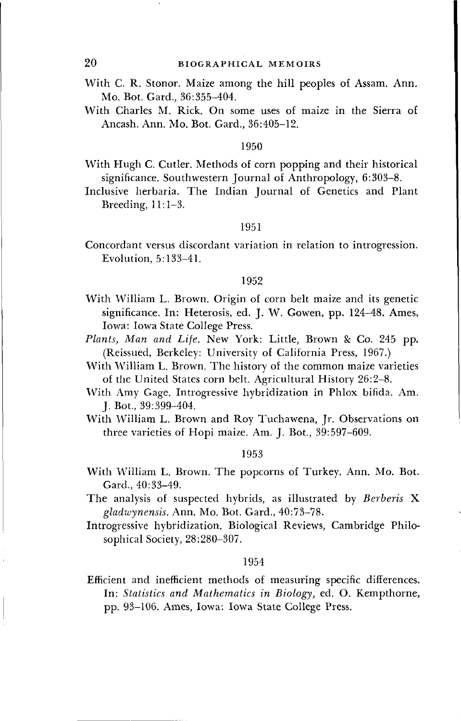With C. R. Stonor. Maize among the hill peoples of Assam. Ann. Mo. Bot. Gard., 36:355-404.

With Charles M. Rick. On some uses of maize in the Sierra of Ancash. Ann. Mo. Bot. Gard., 36:405-12.

### 1950

With Hugh C. Cutler. Methods of corn popping and their historical significance. Southwestern Journal of Anthropology, 6:303-8.

Inclusive herbaria. The Indian Journal of Genetics and Plant Breeding, 11:1-3.

# 1951

Concordant versus discordant variation in relation to introgression. Evolution, 5:133-41.

## 1952

- With William L. Brown. Origin of corn belt maize and its genetic significance. In: Heterosis, ed. J. W. Gowen, pp. 124-48. Ames, Iowa: Iowa State College Press.
- *Plants, Man and Life.* New York: Little, Brown & Co. 245 pp. (Reissued, Berkeley: University of California Press, 1967.)
- With William L. Brown. The history of the common maize varieties of the United States corn belt. Agricultural History 26:2-8.
- With Amy Gage. Introgressive hybridization in Phlox bifida. Am. J. Bot., 39:399-404.
- With William L. Brown and Roy Tuchawena, Jr. Observations on three varieties of Hopi maize. Am. J. Bot, 39:597-609.

### 1953

With William L. Brown. The popcorns of Turkey. Ann. Mo. Bot. Gard., 40:33-49.

The analysis of suspected hybrids, as illustrated by *Berberis* X *gladwynensis.* Ann. Mo. Bot. Gard., 40:73-78.

Introgressive hybridization. Biological Reviews, Cambridge Philosophical Society, 28:280-307.

# 1954

Efficient and inefficient methods of measuring specific differences. In: *Statistics and Mathematics in Biology,* ed. O. Kempthorne, pp. 93-106. Ames, Iowa: Iowa State College Press.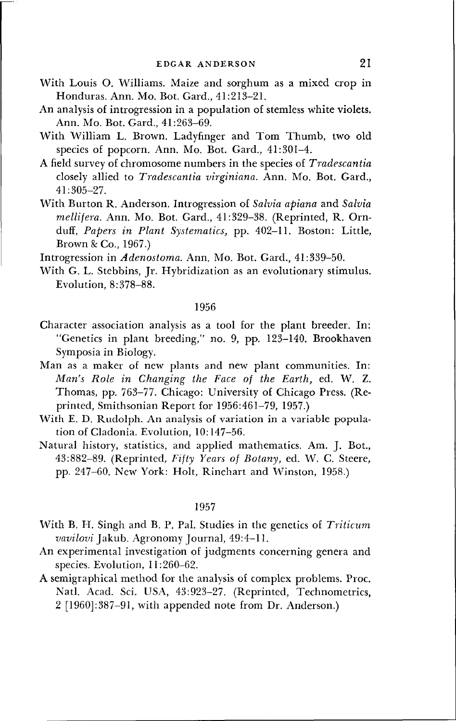- With Louis O. Williams. Maize and sorghum as a mixed crop in Honduras. Ann. Mo. Bot. Gard., 41:213-21.
- An analysis of introgression in a population of stemless white violets. Ann. Mo. Bot. Gard., 41:263-69.
- With William L. Brown. Ladyfinger and Tom Thumb, two old species of popcorn. Ann. Mo. Bot. Gard., 41:301-4.
- A field survey of chromosome numbers in the species of *Tradescantia* closely allied to *Tradescantia virginiana.* Ann. Mo. Bot. Gard., 41:305-27.
- With Burton R. Anderson. Introgression of *Salvia apiana* and *Salvia mellifera.* Ann. Mo. Bot. Gard., 41:329-38. (Reprinted, R. Ornduff, *Papers in Plant Systematics,* pp. 402-11. Boston: Little, Brown & Co., 1967.)

Introgression in *Adenostoma.* Ann. Mo. Bot. Gard., 41:339-50.

With G. L. Stebbins, Jr. Hybridization as an evolutionary stimulus. Evolution, 8:378-88.

# 1956

- Character association analysis as a tool for the plant breeder. In: "Genetics in plant breeding," no. 9, pp. 123-140. Brookhaven Symposia in Biology.
- Man as a maker of new plants and new plant communities. In: *Man's Role in Changing the Face of the Earth,* ed. W. Z. Thomas, pp. 763-77. Chicago: University of Chicago Press. (Reprinted, Smithsonian Report for 1956:461-79, 1957.)
- With E. D. Rudolph. An analysis of variation in a variable population of Cladonia. Evolution, 10:147-56.
- Natural history, statistics, and applied mathematics. Am. J. Bot., 43:882-89. (Reprinted, *Fifty Years of Botany,* ed. W. C. Steere, pp. 247-60. New York: Holt, Rinehart and Winston, 1958.)

- With B. H. Singh and B. P. Pal. Studies in the genetics of *Triticum vavilovi* Jakub. Agronomy Journal, 49:4-11.
- An experimental investigation of judgments concerning genera and species. Evolution, 11:260-62.
- A semigraphical method for the analysis of complex problems. Proc. Natl. Acad. Sci. USA, 43:923-27. (Reprinted, Technometrics, 2 [1960]:387-91, with appended note from Dr. Anderson.)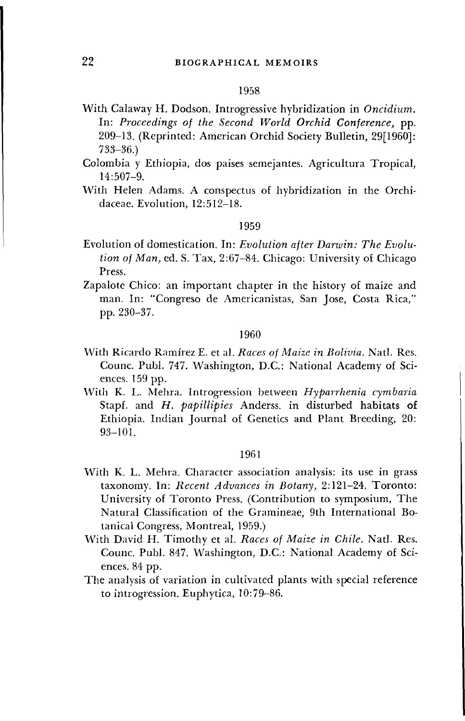### 1958

- With Calaway H. Dodson. Introgressive hybridization in *Oncidium.* In: *Proceedings of the Second World Orchid Conference,* pp. 209-13. (Reprinted: American Orchid Society Bulletin, 29[1960]: 733-36.)
- Colombia y Ethiopia, dos paises semejantes. Agricultura Tropical, 14:507-9.
- With Helen Adams. A conspectus of hybridization in the Orchidaceae. Evolution, 12:512-18.

# 1959

- Evolution of domestication. In: *Evolution after Darwin: The Evolution of Man,* ed. S. Tax, 2:67-84. Chicago: University of Chicago Press.
- Zapalote Chico: an important chapter in the history of maize and man. In: "Congreso de Americanistas, San Jose, Costa Rica," pp. 230-37.

## 1960

- With Ricardo Ramirez E. et al. *Races of Maize in Bolivia.* Natl. Res. Counc. Publ. 747. Washington, D.C.: National Academy of Sciences. 159 pp.
- With K. L. Mehra. Introgression between *Hyparrhenia cymbaria* Stapf. and *H. papillipies* Anderss. in disturbed habitats of Ethiopia. Indian Journal of Genetics and Plant Breeding, 20: 93-101.

- With K. L. Mehra. Character association analysis: its use in grass taxonomy. In: *Recent Advances in Botany,* 2:121-24. Toronto: University of Toronto Press. (Contribution to symposium, The Natural Classification of the Gramineae, 9th International Botanical Congress, Montreal, 1959.)
- With David H. Timothy et al. *Races of Maize in Chile.* Natl. Res. Counc. Publ. 847. Washington, D.C.: National Academy of Sciences. 84 pp.
- The analysis of variation in cultivated plants with special reference to introgression. Euphytica, 10:79-86.